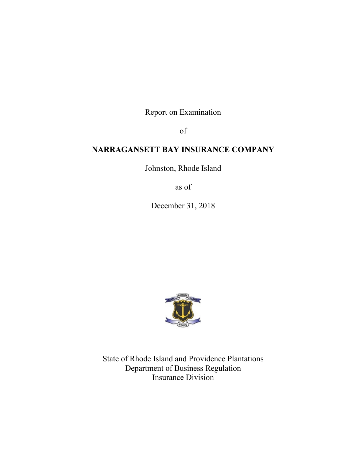Report on Examination

of

# **NARRAGANSETT BAY INSURANCE COMPANY**

Johnston, Rhode Island

as of

December 31, 2018



State of Rhode Island and Providence Plantations Department of Business Regulation Insurance Division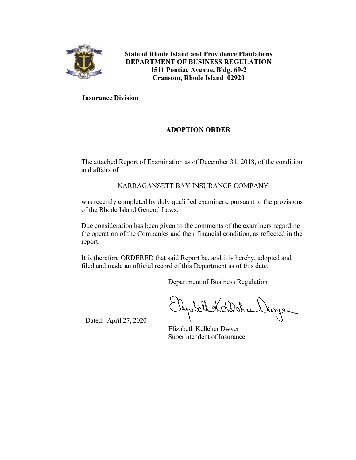

**State of Rhode Island and Providence Plantations DEPARTMENT OF BUSINESS REGULATION 1511 Pontiac Avenue, Bldg. 69-2 Cranston, Rhode Island 02920**

**Insurance Division**

# **ADOPTION ORDER**

The attached Report of Examination as of December 31, 2018, of the condition and affairs of

NARRAGANSETT BAY INSURANCE COMPANY

was recently completed by duly qualified examiners, pursuant to the provisions of the Rhode Island General Laws.

Due consideration has been given to the comments of the examiners regarding the operation of the Companies and their financial condition, as reflected in the report.

It is therefore ORDERED that said Report be, and it is hereby, adopted and filed and made an official record of this Department as of this date.

Department of Business Regulation

Dated: April 27, 2020

Elizabeth Kelleher Dwyer Superintendent of Insurance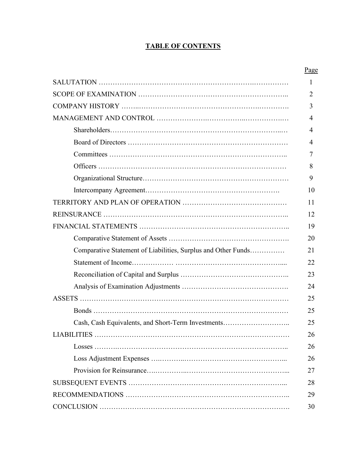# **TABLE OF CONTENTS**

|                                                               | Page         |
|---------------------------------------------------------------|--------------|
|                                                               | $\mathbf{1}$ |
|                                                               | 2            |
|                                                               | 3            |
|                                                               | 4            |
|                                                               | 4            |
|                                                               | 4            |
|                                                               | 7            |
|                                                               | 8            |
|                                                               | 9            |
|                                                               | 10           |
|                                                               | 11           |
|                                                               | 12           |
|                                                               | 19           |
|                                                               | 20           |
| Comparative Statement of Liabilities, Surplus and Other Funds | 21           |
|                                                               | 22           |
|                                                               | 23           |
|                                                               | 24           |
|                                                               | 25           |
|                                                               | 25           |
| Cash, Cash Equivalents, and Short-Term Investments            | 25           |
|                                                               | 26           |
|                                                               | 26           |
|                                                               | 26           |
|                                                               | 27           |
|                                                               | 28           |
|                                                               | 29           |
|                                                               | 30           |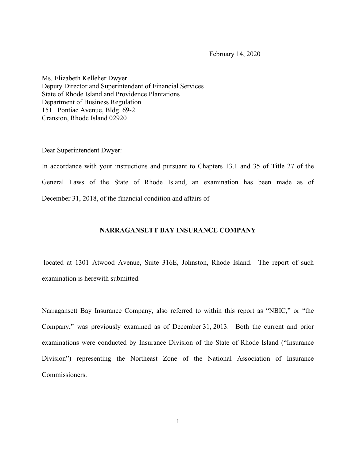February 14, 2020

Ms. Elizabeth Kelleher Dwyer Deputy Director and Superintendent of Financial Services State of Rhode Island and Providence Plantations Department of Business Regulation 1511 Pontiac Avenue, Bldg. 69-2 Cranston, Rhode Island 02920

Dear Superintendent Dwyer:

In accordance with your instructions and pursuant to Chapters 13.1 and 35 of Title 27 of the General Laws of the State of Rhode Island, an examination has been made as of December 31, 2018, of the financial condition and affairs of

# **NARRAGANSETT BAY INSURANCE COMPANY**

located at 1301 Atwood Avenue, Suite 316E, Johnston, Rhode Island. The report of such examination is herewith submitted.

Narragansett Bay Insurance Company, also referred to within this report as "NBIC," or "the Company," was previously examined as of December 31, 2013. Both the current and prior examinations were conducted by Insurance Division of the State of Rhode Island ("Insurance Division") representing the Northeast Zone of the National Association of Insurance Commissioners.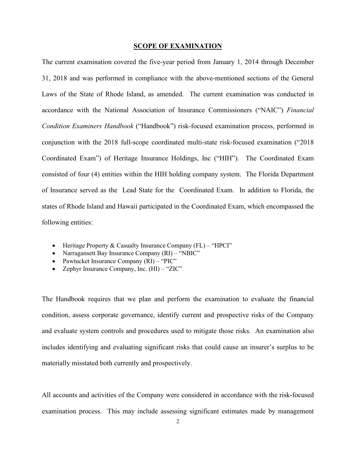#### **SCOPE OF EXAMINATION**

The current examination covered the five-year period from January 1, 2014 through December 31, 2018 and was performed in compliance with the above-mentioned sections of the General Laws of the State of Rhode Island, as amended. The current examination was conducted in accordance with the National Association of Insurance Commissioners ("NAIC") *Financial Condition Examiners Handbook* ("Handbook") risk-focused examination process, performed in conjunction with the 2018 full-scope coordinated multi-state risk-focused examination ("2018 Coordinated Exam") of Heritage Insurance Holdings, Inc ("HIH"). The Coordinated Exam consisted of four (4) entities within the HIH holding company system. The Florida Department of Insurance served as the Lead State for the Coordinated Exam. In addition to Florida, the states of Rhode Island and Hawaii participated in the Coordinated Exam, which encompassed the following entities:

- Heritage Property & Casualty Insurance Company (FL) "HPCI"
- Narragansett Bay Insurance Company (RI) "NBIC"
- Pawtucket Insurance Company (RI) "PIC"
- Zephyr Insurance Company, Inc. (HI) "ZIC"

The Handbook requires that we plan and perform the examination to evaluate the financial condition, assess corporate governance, identify current and prospective risks of the Company and evaluate system controls and procedures used to mitigate those risks. An examination also includes identifying and evaluating significant risks that could cause an insurer's surplus to be materially misstated both currently and prospectively.

All accounts and activities of the Company were considered in accordance with the risk-focused examination process. This may include assessing significant estimates made by management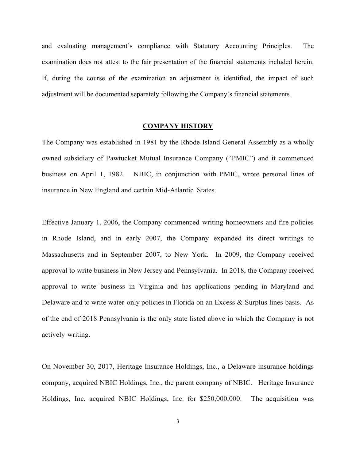and evaluating management's compliance with Statutory Accounting Principles. The examination does not attest to the fair presentation of the financial statements included herein. If, during the course of the examination an adjustment is identified, the impact of such adjustment will be documented separately following the Company's financial statements.

## **COMPANY HISTORY**

The Company was established in 1981 by the Rhode Island General Assembly as a wholly owned subsidiary of Pawtucket Mutual Insurance Company ("PMIC") and it commenced business on April 1, 1982. NBIC, in conjunction with PMIC, wrote personal lines of insurance in New England and certain Mid-Atlantic States.

Effective January 1, 2006, the Company commenced writing homeowners and fire policies in Rhode Island, and in early 2007, the Company expanded its direct writings to Massachusetts and in September 2007, to New York. In 2009, the Company received approval to write business in New Jersey and Pennsylvania. In 2018, the Company received approval to write business in Virginia and has applications pending in Maryland and Delaware and to write water-only policies in Florida on an Excess & Surplus lines basis. As of the end of 2018 Pennsylvania is the only state listed above in which the Company is not actively writing.

On November 30, 2017, Heritage Insurance Holdings, Inc., a Delaware insurance holdings company, acquired NBIC Holdings, Inc., the parent company of NBIC. Heritage Insurance Holdings, Inc. acquired NBIC Holdings, Inc. for \$250,000,000. The acquisition was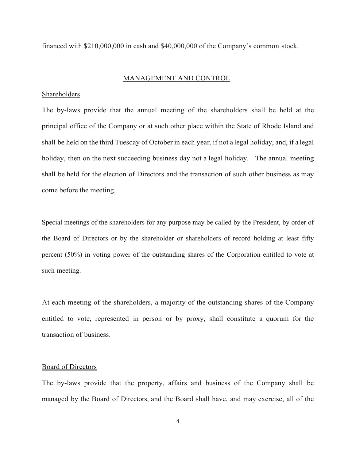financed with \$210,000,000 in cash and \$40,000,000 of the Company's common stock.

#### MANAGEMENT AND CONTROL

## Shareholders

The by-laws provide that the annual meeting of the shareholders shall be held at the principal office of the Company or at such other place within the State of Rhode Island and shall be held on the third Tuesday of October in each year, if not a legal holiday, and, if a legal holiday, then on the next succeeding business day not a legal holiday. The annual meeting shall be held for the election of Directors and the transaction of such other business as may come before the meeting.

Special meetings of the shareholders for any purpose may be called by the President, by order of the Board of Directors or by the shareholder or shareholders of record holding at least fifty percent (50%) in voting power of the outstanding shares of the Corporation entitled to vote at such meeting.

At each meeting of the shareholders, a majority of the outstanding shares of the Company entitled to vote, represented in person or by proxy, shall constitute a quorum for the transaction of business.

## Board of Directors

The by-laws provide that the property, affairs and business of the Company shall be managed by the Board of Directors, and the Board shall have, and may exercise, all of the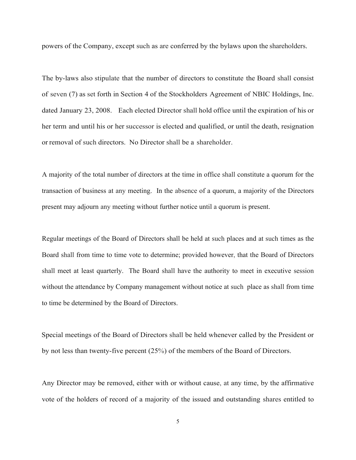powers of the Company, except such as are conferred by the bylaws upon the shareholders.

The by-laws also stipulate that the number of directors to constitute the Board shall consist of seven (7) as set forth in Section 4 of the Stockholders Agreement of NBIC Holdings, Inc. dated January 23, 2008. Each elected Director shall hold office until the expiration of his or her term and until his or her successor is elected and qualified, or until the death, resignation or removal of such directors. No Director shall be a shareholder.

A majority of the total number of directors at the time in office shall constitute a quorum for the transaction of business at any meeting. In the absence of a quorum, a majority of the Directors present may adjourn any meeting without further notice until a quorum is present.

Regular meetings of the Board of Directors shall be held at such places and at such times as the Board shall from time to time vote to determine; provided however, that the Board of Directors shall meet at least quarterly. The Board shall have the authority to meet in executive session without the attendance by Company management without notice at such place as shall from time to time be determined by the Board of Directors.

Special meetings of the Board of Directors shall be held whenever called by the President or by not less than twenty-five percent (25%) of the members of the Board of Directors.

Any Director may be removed, either with or without cause, at any time, by the affirmative vote of the holders of record of a majority of the issued and outstanding shares entitled to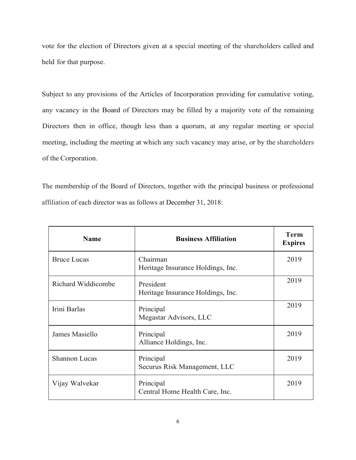vote for the election of Directors given at a special meeting of the shareholders called and held for that purpose.

Subject to any provisions of the Articles of Incorporation providing for cumulative voting, any vacancy in the Board of Directors may be filled by a majority vote of the remaining Directors then in office, though less than a quorum, at any regular meeting or special meeting, including the meeting at which any such vacancy may arise, or by the shareholders of the Corporation.

The membership of the Board of Directors, together with the principal business or professional affiliation of each director was as follows at December 31, 2018:

| <b>Name</b>          | <b>Business Affiliation</b>                    | <b>Term</b><br><b>Expires</b> |
|----------------------|------------------------------------------------|-------------------------------|
| <b>Bruce Lucas</b>   | Chairman<br>Heritage Insurance Holdings, Inc.  | 2019                          |
| Richard Widdicombe   | President<br>Heritage Insurance Holdings, Inc. | 2019                          |
| Irini Barlas         | Principal<br>Megastar Advisors, LLC            | 2019                          |
| James Masiello       | Principal<br>Alliance Holdings, Inc.           | 2019                          |
| <b>Shannon Lucas</b> | Principal<br>Securus Risk Management, LLC      | 2019                          |
| Vijay Walvekar       | Principal<br>Central Home Health Care, Inc.    | 2019                          |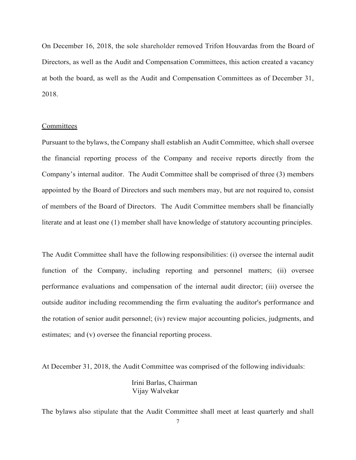On December 16, 2018, the sole shareholder removed Trifon Houvardas from the Board of Directors, as well as the Audit and Compensation Committees, this action created a vacancy at both the board, as well as the Audit and Compensation Committees as of December 31, 2018.

## **Committees**

Pursuant to the bylaws, theCompany shall establish an Audit Committee, which shall oversee the financial reporting process of the Company and receive reports directly from the Company's internal auditor. The Audit Committee shall be comprised of three (3) members appointed by the Board of Directors and such members may, but are not required to, consist of members of the Board of Directors. The Audit Committee members shall be financially literate and at least one (1) member shall have knowledge of statutory accounting principles.

The Audit Committee shall have the following responsibilities: (i) oversee the internal audit function of the Company, including reporting and personnel matters; (ii) oversee performance evaluations and compensation of the internal audit director; (iii) oversee the outside auditor including recommending the firm evaluating the auditor's performance and the rotation of senior audit personnel; (iv) review major accounting policies, judgments, and estimates; and (v) oversee the financial reporting process.

At December 31, 2018, the Audit Committee was comprised of the following individuals:

 Irini Barlas, Chairman Vijay Walvekar

The bylaws also stipulate that the Audit Committee shall meet at least quarterly and shall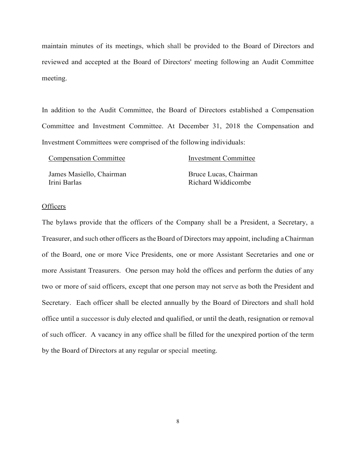maintain minutes of its meetings, which shall be provided to the Board of Directors and reviewed and accepted at the Board of Directors' meeting following an Audit Committee meeting.

In addition to the Audit Committee, the Board of Directors established a Compensation Committee and Investment Committee. At December 31, 2018 the Compensation and Investment Committees were comprised of the following individuals:

| <b>Compensation Committee</b> | <b>Investment Committee</b> |
|-------------------------------|-----------------------------|
| James Masiello, Chairman      | Bruce Lucas, Chairman       |
| Irini Barlas                  | Richard Widdicombe          |

#### **Officers**

The bylaws provide that the officers of the Company shall be a President, a Secretary, a Treasurer, and such other officers astheBoard of Directors may appoint, including aChairman of the Board, one or more Vice Presidents, one or more Assistant Secretaries and one or more Assistant Treasurers. One person may hold the offices and perform the duties of any two or more of said officers, except that one person may not serve as both the President and Secretary. Each officer shall be elected annually by the Board of Directors and shall hold office until a successor is duly elected and qualified, or until the death, resignation or removal of such officer. A vacancy in any office shall be filled for the unexpired portion of the term by the Board of Directors at any regular or special meeting.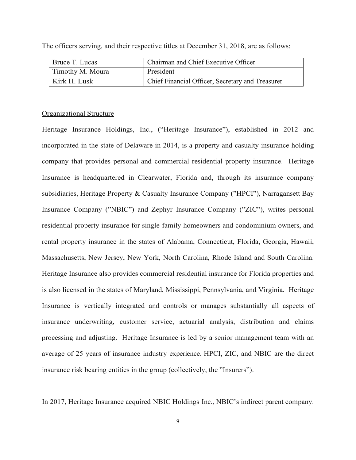| Bruce T. Lucas   | Chairman and Chief Executive Officer             |
|------------------|--------------------------------------------------|
| Timothy M. Moura | President                                        |
| Kirk H. Lusk     | Chief Financial Officer, Secretary and Treasurer |

The officers serving, and their respective titles at December 31, 2018, are as follows:

#### Organizational Structure

Heritage Insurance Holdings, Inc., ("Heritage Insurance"), established in 2012 and incorporated in the state of Delaware in 2014, is a property and casualty insurance holding company that provides personal and commercial residential property insurance. Heritage Insurance is headquartered in Clearwater, Florida and, through its insurance company subsidiaries, Heritage Property & Casualty Insurance Company ("HPCI"), Narragansett Bay Insurance Company ("NBIC") and Zephyr Insurance Company ("ZIC"), writes personal residential property insurance for single-family homeowners and condominium owners, and rental property insurance in the states of Alabama, Connecticut, Florida, Georgia, Hawaii, Massachusetts, New Jersey, New York, North Carolina, Rhode Island and South Carolina. Heritage Insurance also provides commercial residential insurance for Florida properties and is also licensed in the states of Maryland, Mississippi, Pennsylvania, and Virginia. Heritage Insurance is vertically integrated and controls or manages substantially all aspects of insurance underwriting, customer service, actuarial analysis, distribution and claims processing and adjusting. Heritage Insurance is led by a senior management team with an average of 25 years of insurance industry experience. HPCI, ZIC, and NBIC are the direct insurance risk bearing entities in the group (collectively, the "Insurers").

In 2017, Heritage Insurance acquired NBIC Holdings Inc., NBIC's indirect parent company.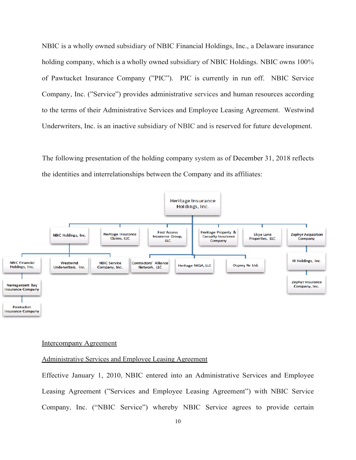NBIC is a wholly owned subsidiary of NBIC Financial Holdings, Inc., a Delaware insurance holding company, which is a wholly owned subsidiary of NBIC Holdings. NBIC owns 100% of Pawtucket Insurance Company ("PIC"). PIC is currently in run off. NBIC Service Company, Inc. ("Service") provides administrative services and human resources according to the terms of their Administrative Services and Employee Leasing Agreement. Westwind Underwriters, Inc. is an inactive subsidiary of NBIC and is reserved for future development.

The following presentation of the holding company system as of December 31, 2018 reflects the identities and interrelationships between the Company and its affiliates:



#### Intercompany Agreement

## Administrative Services and Employee Leasing Agreement

Effective January 1, 2010, NBIC entered into an Administrative Services and Employee Leasing Agreement ("Services and Employee Leasing Agreement") with NBIC Service Company, Inc. ("NBIC Service") whereby NBIC Service agrees to provide certain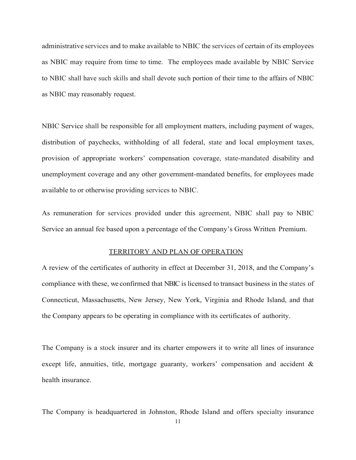administrative services and to make available to NBIC the services of certain of its employees as NBIC may require from time to time. The employees made available by NBIC Service to NBIC shall have such skills and shall devote such portion of their time to the affairs of NBIC as NBIC may reasonably request.

NBIC Service shall be responsible for all employment matters, including payment of wages, distribution of paychecks, withholding of all federal, state and local employment taxes, provision of appropriate workers' compensation coverage, state-mandated disability and unemployment coverage and any other government-mandated benefits, for employees made available to or otherwise providing services to NBIC.

As remuneration for services provided under this agreement, NBIC shall pay to NBIC Service an annual fee based upon a percentage of the Company's Gross Written Premium.

#### TERRITORY AND PLAN OF OPERATION

A review of the certificates of authority in effect at December 31, 2018, and the Company's compliance with these, we confirmed that NBIC islicensed to transact business in the states of Connecticut, Massachusetts, New Jersey, New York, Virginia and Rhode Island, and that the Company appears to be operating in compliance with its certificates of authority.

The Company is a stock insurer and its charter empowers it to write all lines of insurance except life, annuities, title, mortgage guaranty, workers' compensation and accident & health insurance.

The Company is headquartered in Johnston, Rhode Island and offers specialty insurance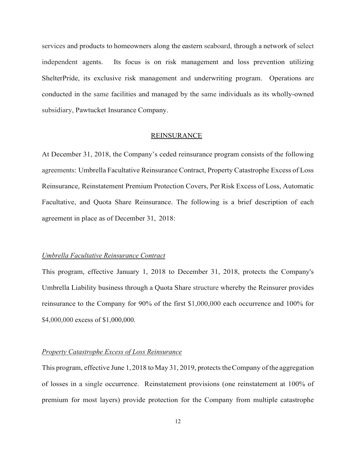services and products to homeowners along the eastern seaboard, through a network of select independent agents. Its focus is on risk management and loss prevention utilizing ShelterPride, its exclusive risk management and underwriting program. Operations are conducted in the same facilities and managed by the same individuals as its wholly-owned subsidiary, Pawtucket Insurance Company.

#### **REINSURANCE**

At December 31, 2018, the Company's ceded reinsurance program consists of the following agreements: Umbrella Facultative Reinsurance Contract, Property Catastrophe Excess of Loss Reinsurance, Reinstatement Premium Protection Covers, Per Risk Excess of Loss, Automatic Facultative, and Quota Share Reinsurance. The following is a brief description of each agreement in place as of December 31, 2018:

## *Umbrella Facultative Reinsurance Contract*

This program, effective January 1, 2018 to December 31, 2018, protects the Company's Umbrella Liability business through a Quota Share structure whereby the Reinsurer provides reinsurance to the Company for 90% of the first \$1,000,000 each occurrence and 100% for \$4,000,000 excess of \$1,000,000.

## *Property Catastrophe Excess of Loss Reinsurance*

This program, effective June 1, 2018 to May 31, 2019, protects the Company of the aggregation of losses in a single occurrence. Reinstatement provisions (one reinstatement at 100% of premium for most layers) provide protection for the Company from multiple catastrophe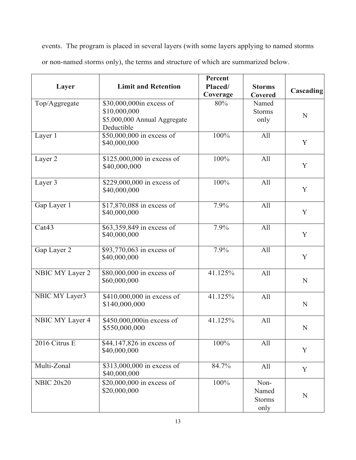events. The program is placed in several layers (with some layers applying to named storms or non-named storms only), the terms and structure of which are summarized below.

| Layer             | <b>Limit and Retention</b>                                                             | Percent<br>Placed/ | <b>Storms</b>                          |             |
|-------------------|----------------------------------------------------------------------------------------|--------------------|----------------------------------------|-------------|
|                   |                                                                                        | Coverage           | Covered                                | Cascading   |
| Top/Aggregate     | \$30,000,000in excess of<br>\$10,000,000<br>\$5,000,000 Annual Aggregate<br>Deductible | 80%                | Named<br><b>Storms</b><br>only         | N           |
| Layer 1           | \$50,000,000 in excess of<br>\$40,000,000                                              | 100%               | All                                    | Y           |
| Layer 2           | \$125,000,000 in excess of<br>\$40,000,000                                             | 100%               | All                                    | Y           |
| Layer 3           | \$229,000,000 in excess of<br>\$40,000,000                                             | 100%               | All                                    | Y           |
| Gap Layer 1       | \$17,870,088 in excess of<br>\$40,000,000                                              | 7.9%               | All                                    | Y           |
| Cat43             | \$63,359,849 in excess of<br>\$40,000,000                                              | 7.9%               | All                                    | Y           |
| Gap Layer 2       | \$93,770,063 in excess of<br>\$40,000,000                                              | 7.9%               | All                                    | Y           |
| NBIC MY Layer 2   | \$80,000,000 in excess of<br>\$60,000,000                                              | 41.125%            | All                                    | N           |
| NBIC MY Layer3    | \$410,000,000 in excess of<br>\$140,000,000                                            | 41.125%            | All                                    | ${\bf N}$   |
| NBIC MY Layer 4   | \$450,000,000in excess of<br>\$550,000,000                                             | 41.125%            | All                                    | $\mathbf N$ |
| 2016 Citrus E     | \$44,147,826 in excess of<br>\$40,000,000                                              | 100%               | All                                    | Y           |
| Multi-Zonal       | \$313,000,000 in excess of<br>\$40,000,000                                             | 84.7%              | All                                    | Y           |
| <b>NBIC 20x20</b> | \$20,000,000 in excess of<br>\$20,000,000                                              | 100%               | Non-<br>Named<br><b>Storms</b><br>only | $\mathbf N$ |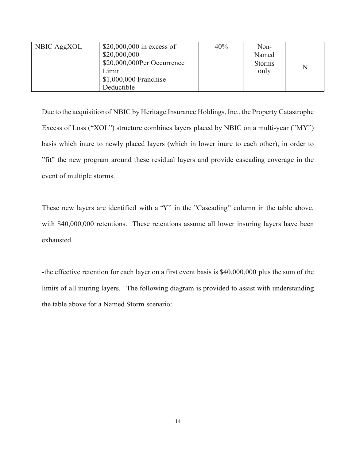|             | \$20,000,000 in excess of  | 40% | Non-          |   |
|-------------|----------------------------|-----|---------------|---|
| NBIC AggXOL |                            |     |               |   |
|             | \$20,000,000               |     | Named         |   |
|             | \$20,000,000Per Occurrence |     | <b>Storms</b> | N |
|             | Limit                      |     | only          |   |
|             | \$1,000,000 Franchise      |     |               |   |
|             | Deductible                 |     |               |   |

Due to the acquisition of NBIC by Heritage Insurance Holdings, Inc., the Property Catastrophe Excess of Loss ("XOL") structure combines layers placed by NBIC on a multi-year ("MY") basis which inure to newly placed layers (which in lower inure to each other), in order to "fit" the new program around these residual layers and provide cascading coverage in the event of multiple storms.

These new layers are identified with a "Y" in the "Cascading" column in the table above, with \$40,000,000 retentions. These retentions assume all lower insuring layers have been exhausted.

-the effective retention for each layer on a first event basis is \$40,000,000 plus the sum of the limits of all inuring layers. The following diagram is provided to assist with understanding the table above for a Named Storm scenario: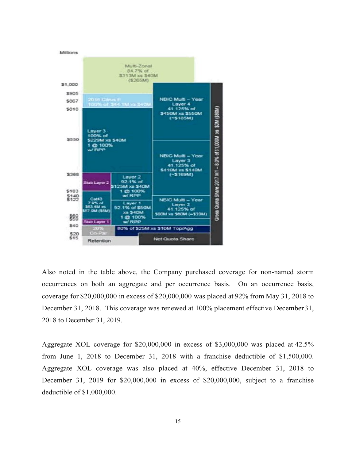

Also noted in the table above, the Company purchased coverage for non-named storm occurrences on both an aggregate and per occurrence basis. On an occurrence basis, coverage for \$20,000,000 in excess of \$20,000,000 was placed at 92% from May 31, 2018 to December 31, 2018. This coverage was renewed at 100% placement effective December 31, 2018 to December 31, 2019.

Aggregate XOL coverage for \$20,000,000 in excess of \$3,000,000 was placed at 42.5% from June 1, 2018 to December 31, 2018 with a franchise deductible of \$1,500,000. Aggregate XOL coverage was also placed at 40%, effective December 31, 2018 to December 31, 2019 for \$20,000,000 in excess of \$20,000,000, subject to a franchise deductible of \$1,000,000.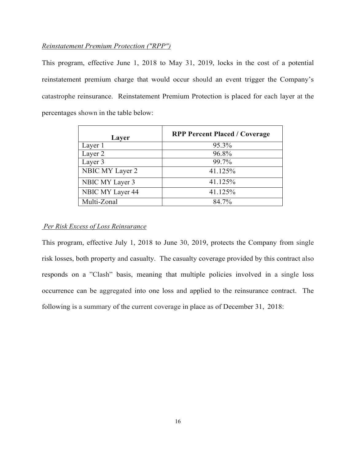## *Reinstatement Premium Protection ("RPP")*

This program, effective June 1, 2018 to May 31, 2019, locks in the cost of a potential reinstatement premium charge that would occur should an event trigger the Company's catastrophe reinsurance. Reinstatement Premium Protection is placed for each layer at the percentages shown in the table below:

| Layer            | <b>RPP Percent Placed / Coverage</b> |
|------------------|--------------------------------------|
| Layer 1          | 95.3%                                |
| Layer 2          | 96.8%                                |
| Layer 3          | 99.7%                                |
| NBIC MY Layer 2  | 41.125%                              |
| NBIC MY Layer 3  | 41.125%                              |
| NBIC MY Layer 44 | 41.125%                              |
| Multi-Zonal      | 84.7%                                |

## *Per Risk Excess of Loss Reinsurance*

This program, effective July 1, 2018 to June 30, 2019, protects the Company from single risk losses, both property and casualty. The casualty coverage provided by this contract also responds on a "Clash" basis, meaning that multiple policies involved in a single loss occurrence can be aggregated into one loss and applied to the reinsurance contract. The following is a summary of the current coverage in place as of December 31, 2018: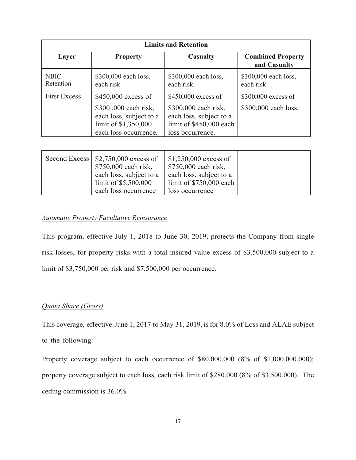| <b>Limits and Retention</b> |                                                                                                 |                                                                                                    |                                              |  |
|-----------------------------|-------------------------------------------------------------------------------------------------|----------------------------------------------------------------------------------------------------|----------------------------------------------|--|
| Layer                       | <b>Property</b>                                                                                 | <b>Casualty</b>                                                                                    | <b>Combined Property</b><br>and Casualty     |  |
| <b>NBIC</b><br>Retention    | \$300,000 each loss,<br>each risk                                                               | \$300,000 each loss,<br>each risk.                                                                 | \$300,000 each loss,<br>each risk.           |  |
| <b>First Excess</b>         | $$450,000$ excess of<br>\$300,000 each risk,<br>each loss, subject to a<br>limit of \$1,350,000 | $$450,000$ excess of<br>\$300,000 each risk,<br>each loss, subject to a<br>limit of \$450,000 each | $$300,000$ excess of<br>\$300,000 each loss. |  |
|                             | each loss occurrence.                                                                           | loss occurrence.                                                                                   |                                              |  |

| Second Excess $\vert$ \$2,750,000 excess of<br>\$750,000 each risk,<br>each loss, subject to a<br>limit of $$5,500,000$ | $$1,250,000$ excess of<br>\$750,000 each risk,<br>each loss, subject to a<br>limit of $$750,000$ each |  |
|-------------------------------------------------------------------------------------------------------------------------|-------------------------------------------------------------------------------------------------------|--|
| each loss occurrence                                                                                                    | loss occurrence                                                                                       |  |

# *Automatic Property Facultative Reinsurance*

This program, effective July 1, 2018 to June 30, 2019, protects the Company from single risk losses, for property risks with a total insured value excess of \$3,500,000 subject to a limit of \$3,750,000 per risk and \$7,500,000 per occurrence.

## *Quota Share (Gross)*

This coverage, effective June 1, 2017 to May 31, 2019, isfor 8.0% of Loss and ALAE subject to the following:

Property coverage subject to each occurrence of \$80,000,000 (8% of \$1,000,000,000); property coverage subject to each loss, each risk limit of \$280,000 (8% of \$3,500,000). The ceding commission is 36.0%.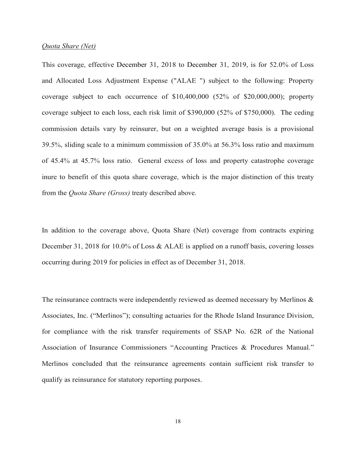#### *Quota Share (Net)*

This coverage, effective December 31, 2018 to December 31, 2019, is for 52.0% of Loss and Allocated Loss Adjustment Expense ("ALAE ") subject to the following: Property coverage subject to each occurrence of \$10,400,000 (52% of \$20,000,000); property coverage subject to each loss, each risk limit of \$390,000 (52% of \$750,000). The ceding commission details vary by reinsurer, but on a weighted average basis is a provisional 39.5%, sliding scale to a minimum commission of 35.0% at 56.3% loss ratio and maximum of 45.4% at 45.7% loss ratio. General excess of loss and property catastrophe coverage inure to benefit of this quota share coverage, which is the major distinction of this treaty from the *Quota Share (Gross)* treaty described above.

In addition to the coverage above, Quota Share (Net) coverage from contracts expiring December 31, 2018 for 10.0% of Loss & ALAE is applied on a runoff basis, covering losses occurring during 2019 for policies in effect as of December 31, 2018.

The reinsurance contracts were independently reviewed as deemed necessary by Merlinos & Associates, Inc. ("Merlinos"); consulting actuaries for the Rhode Island Insurance Division, for compliance with the risk transfer requirements of SSAP No. 62R of the National Association of Insurance Commissioners "Accounting Practices & Procedures Manual." Merlinos concluded that the reinsurance agreements contain sufficient risk transfer to qualify as reinsurance for statutory reporting purposes.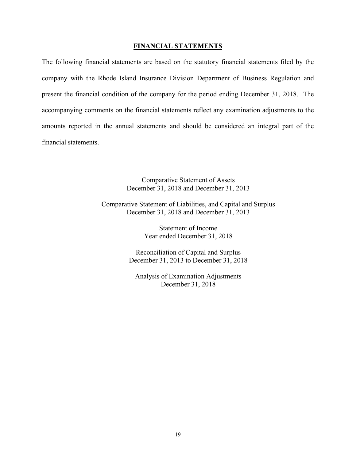## **FINANCIAL STATEMENTS**

The following financial statements are based on the statutory financial statements filed by the company with the Rhode Island Insurance Division Department of Business Regulation and present the financial condition of the company for the period ending December 31, 2018. The accompanying comments on the financial statements reflect any examination adjustments to the amounts reported in the annual statements and should be considered an integral part of the financial statements.

> Comparative Statement of Assets December 31, 2018 and December 31, 2013

Comparative Statement of Liabilities, and Capital and Surplus December 31, 2018 and December 31, 2013

> Statement of Income Year ended December 31, 2018

Reconciliation of Capital and Surplus December 31, 2013 to December 31, 2018

Analysis of Examination Adjustments December 31, 2018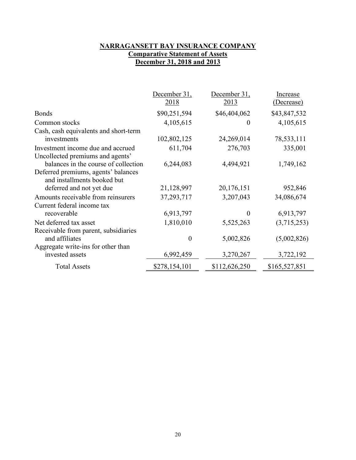# **NARRAGANSETT BAY INSURANCE COMPANY Comparative Statement of Assets December 31, 2018 and 2013**

|                                                                       | December 31,<br>2018 | December 31,<br>2013 | Increase<br>(Decrease) |
|-----------------------------------------------------------------------|----------------------|----------------------|------------------------|
| <b>Bonds</b>                                                          | \$90,251,594         | \$46,404,062         | \$43,847,532           |
| Common stocks                                                         | 4,105,615            | 0                    | 4,105,615              |
| Cash, cash equivalents and short-term                                 |                      |                      |                        |
| investments                                                           | 102,802,125          | 24,269,014           | 78,533,111             |
| Investment income due and accrued<br>Uncollected premiums and agents' | 611,704              | 276,703              | 335,001                |
| balances in the course of collection                                  | 6,244,083            | 4,494,921            | 1,749,162              |
| Deferred premiums, agents' balances<br>and installments booked but    |                      |                      |                        |
| deferred and not yet due                                              | 21,128,997           | 20,176,151           | 952,846                |
| Amounts receivable from reinsurers                                    | 37,293,717           | 3,207,043            | 34,086,674             |
| Current federal income tax                                            |                      |                      |                        |
| recoverable                                                           | 6,913,797            | $\Omega$             | 6,913,797              |
| Net deferred tax asset                                                | 1,810,010            | 5,525,263            | (3,715,253)            |
| Receivable from parent, subsidiaries                                  |                      |                      |                        |
| and affiliates                                                        | $\theta$             | 5,002,826            | (5,002,826)            |
| Aggregate write-ins for other than                                    |                      |                      |                        |
| invested assets                                                       | 6,992,459            | 3,270,267            | 3,722,192              |
| <b>Total Assets</b>                                                   | \$278,154,101        | \$112,626,250        | \$165,527,851          |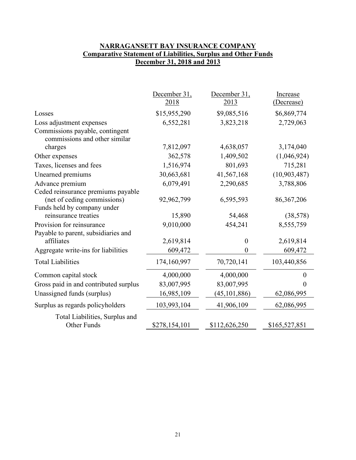# **NARRAGANSETT BAY INSURANCE COMPANY Comparative Statement of Liabilities, Surplus and Other Funds December 31, 2018 and 2013**

|                                                                                                  | December 31,  | December 31,   | Increase      |
|--------------------------------------------------------------------------------------------------|---------------|----------------|---------------|
|                                                                                                  | 2018          | 2013           | (Decrease)    |
| Losses                                                                                           | \$15,955,290  | \$9,085,516    | \$6,869,774   |
| Loss adjustment expenses                                                                         | 6,552,281     | 3,823,218      | 2,729,063     |
| Commissions payable, contingent<br>commissions and other similar                                 |               |                |               |
| charges                                                                                          | 7,812,097     | 4,638,057      | 3,174,040     |
| Other expenses                                                                                   | 362,578       | 1,409,502      | (1,046,924)   |
| Taxes, licenses and fees                                                                         | 1,516,974     | 801,693        | 715,281       |
| Unearned premiums                                                                                | 30,663,681    | 41,567,168     | (10,903,487)  |
| Advance premium                                                                                  | 6,079,491     | 2,290,685      | 3,788,806     |
| Ceded reinsurance premiums payable<br>(net of ceding commissions)<br>Funds held by company under | 92,962,799    | 6,595,593      | 86, 367, 206  |
| reinsurance treaties                                                                             | 15,890        | 54,468         | (38, 578)     |
| Provision for reinsurance                                                                        | 9,010,000     | 454,241        | 8,555,759     |
| Payable to parent, subsidiaries and                                                              |               |                |               |
| affiliates                                                                                       | 2,619,814     | $\theta$       | 2,619,814     |
| Aggregate write-ins for liabilities                                                              | 609,472       | 0              | 609,472       |
| <b>Total Liabilities</b>                                                                         | 174,160,997   | 70,720,141     | 103,440,856   |
| Common capital stock                                                                             | 4,000,000     | 4,000,000      | $\Omega$      |
| Gross paid in and contributed surplus                                                            | 83,007,995    | 83,007,995     | 0             |
| Unassigned funds (surplus)                                                                       | 16,985,109    | (45, 101, 886) | 62,086,995    |
| Surplus as regards policyholders                                                                 | 103,993,104   | 41,906,109     | 62,086,995    |
| Total Liabilities, Surplus and<br>Other Funds                                                    | \$278,154,101 | \$112,626,250  | \$165,527,851 |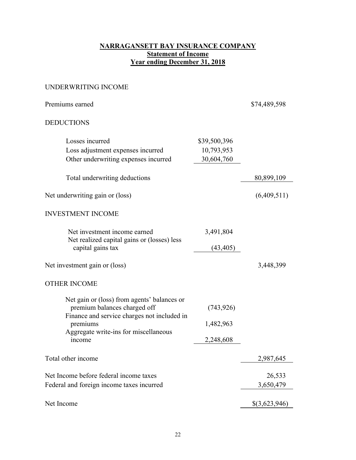# **NARRAGANSETT BAY INSURANCE COMPANY Statement of Income Year ending December 31, 2018**

# UNDERWRITING INCOME

| Premiums earned                                                                                                            |                            | \$74,489,598        |
|----------------------------------------------------------------------------------------------------------------------------|----------------------------|---------------------|
| <b>DEDUCTIONS</b>                                                                                                          |                            |                     |
| Losses incurred<br>Loss adjustment expenses incurred                                                                       | \$39,500,396<br>10,793,953 |                     |
| Other underwriting expenses incurred                                                                                       | 30,604,760                 |                     |
| Total underwriting deductions                                                                                              |                            | 80,899,109          |
| Net underwriting gain or (loss)                                                                                            |                            | (6,409,511)         |
| <b>INVESTMENT INCOME</b>                                                                                                   |                            |                     |
| Net investment income earned<br>Net realized capital gains or (losses) less                                                | 3,491,804                  |                     |
| capital gains tax                                                                                                          | (43, 405)                  |                     |
| Net investment gain or (loss)                                                                                              |                            | 3,448,399           |
| <b>OTHER INCOME</b>                                                                                                        |                            |                     |
| Net gain or (loss) from agents' balances or<br>premium balances charged off<br>Finance and service charges not included in | (743, 926)                 |                     |
| premiums                                                                                                                   | 1,482,963                  |                     |
| Aggregate write-ins for miscellaneous<br>income                                                                            | 2,248,608                  |                     |
| Total other income                                                                                                         |                            | 2,987,645           |
| Net Income before federal income taxes<br>Federal and foreign income taxes incurred                                        |                            | 26,533<br>3,650,479 |
| Net Income                                                                                                                 |                            | \$(3,623,946)       |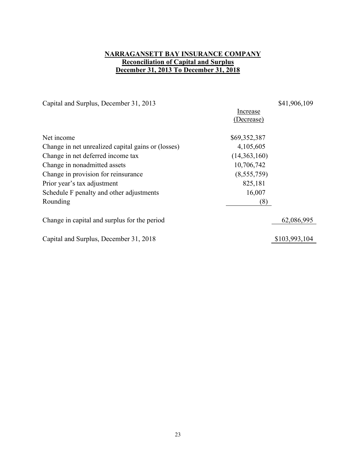# **NARRAGANSETT BAY INSURANCE COMPANY Reconciliation of Capital and Surplus December 31, 2013 To December 31, 2018**

Capital and Surplus, December 31, 2013 \$41,906,109 Increase (Decrease) Net income \$69,352,387 Change in net unrealized capital gains or (losses) 4,105,605 Change in net deferred income tax (14,363,160) Change in nonadmitted assets 10,706,742 Change in provision for reinsurance (8,555,759) Prior year's tax adjustment 825,181 Schedule F penalty and other adjustments 16,007 Rounding (8) Change in capital and surplus for the period 62,086,995 Capital and Surplus, December 31, 2018 \$103,993,104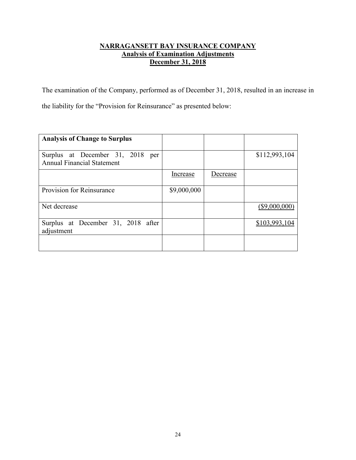# **NARRAGANSETT BAY INSURANCE COMPANY Analysis of Examination Adjustments December 31, 2018**

The examination of the Company, performed as of December 31, 2018, resulted in an increase in the liability for the "Provision for Reinsurance" as presented below:

| <b>Analysis of Change to Surplus</b>                                  |             |          |                 |
|-----------------------------------------------------------------------|-------------|----------|-----------------|
| Surplus at December 31, 2018 per<br><b>Annual Financial Statement</b> |             |          | \$112,993,104   |
|                                                                       | Increase    | Decrease |                 |
| Provision for Reinsurance                                             | \$9,000,000 |          |                 |
| Net decrease                                                          |             |          | $(\$9,000,000)$ |
| Surplus at December 31, 2018 after<br>adjustment                      |             |          | \$103,993.      |
|                                                                       |             |          |                 |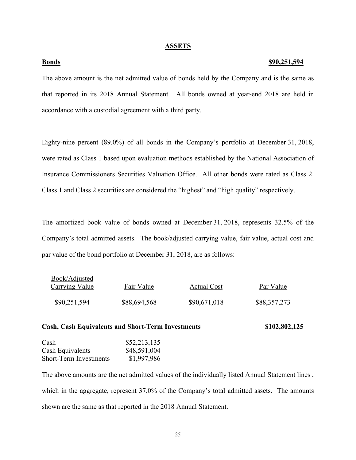#### **ASSETS**

#### **Bonds \$90,251,594**

The above amount is the net admitted value of bonds held by the Company and is the same as that reported in its 2018 Annual Statement. All bonds owned at year-end 2018 are held in accordance with a custodial agreement with a third party.

Eighty-nine percent (89.0%) of all bonds in the Company's portfolio at December 31, 2018, were rated as Class 1 based upon evaluation methods established by the National Association of Insurance Commissioners Securities Valuation Office. All other bonds were rated as Class 2. Class 1 and Class 2 securities are considered the "highest" and "high quality" respectively.

The amortized book value of bonds owned at December 31, 2018, represents 32.5% of the Company's total admitted assets. The book/adjusted carrying value, fair value, actual cost and par value of the bond portfolio at December 31, 2018, are as follows:

| DOOK/Aujusteu<br><b>Carrying Value</b> | Fair Value   | Actual Cost  | Par Value    |
|----------------------------------------|--------------|--------------|--------------|
| \$90,251,594                           | \$88,694,568 | \$90,671,018 | \$88,357,273 |

### **Cash, Cash Equivalents and Short-Term Investments \$102,802,125**

| \$52,213,135 |
|--------------|
| \$48,591,004 |
| \$1,997,986  |
|              |

 $D_{\text{sc}}1/(A_d)$ 

The above amounts are the net admitted values of the individually listed Annual Statement lines , which in the aggregate, represent 37.0% of the Company's total admitted assets. The amounts shown are the same as that reported in the 2018 Annual Statement.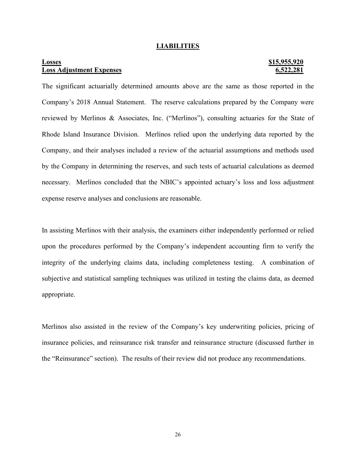#### **LIABILITIES**

# **Losses \$15,955,920 Loss Adjustment Expenses 6,522,281**

The significant actuarially determined amounts above are the same as those reported in the Company's 2018 Annual Statement. The reserve calculations prepared by the Company were reviewed by Merlinos & Associates, Inc. ("Merlinos"), consulting actuaries for the State of Rhode Island Insurance Division. Merlinos relied upon the underlying data reported by the Company, and their analyses included a review of the actuarial assumptions and methods used by the Company in determining the reserves, and such tests of actuarial calculations as deemed necessary. Merlinos concluded that the NBIC's appointed actuary's loss and loss adjustment expense reserve analyses and conclusions are reasonable.

In assisting Merlinos with their analysis, the examiners either independently performed or relied upon the procedures performed by the Company's independent accounting firm to verify the integrity of the underlying claims data, including completeness testing. A combination of subjective and statistical sampling techniques was utilized in testing the claims data, as deemed appropriate.

Merlinos also assisted in the review of the Company's key underwriting policies, pricing of insurance policies, and reinsurance risk transfer and reinsurance structure (discussed further in the "Reinsurance" section). The results of their review did not produce any recommendations.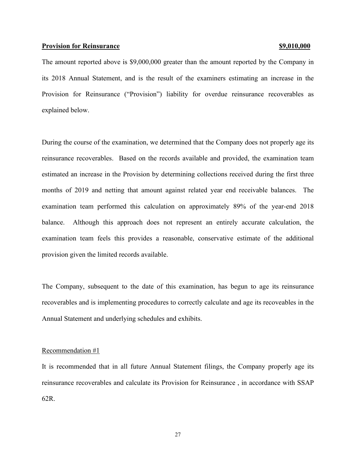#### **Provision for Reinsurance <b>***S9,010,000*

The amount reported above is \$9,000,000 greater than the amount reported by the Company in its 2018 Annual Statement, and is the result of the examiners estimating an increase in the Provision for Reinsurance ("Provision") liability for overdue reinsurance recoverables as explained below.

During the course of the examination, we determined that the Company does not properly age its reinsurance recoverables. Based on the records available and provided, the examination team estimated an increase in the Provision by determining collections received during the first three months of 2019 and netting that amount against related year end receivable balances. The examination team performed this calculation on approximately 89% of the year-end 2018 balance. Although this approach does not represent an entirely accurate calculation, the examination team feels this provides a reasonable, conservative estimate of the additional provision given the limited records available.

The Company, subsequent to the date of this examination, has begun to age its reinsurance recoverables and is implementing procedures to correctly calculate and age its recoveables in the Annual Statement and underlying schedules and exhibits.

#### Recommendation #1

It is recommended that in all future Annual Statement filings, the Company properly age its reinsurance recoverables and calculate its Provision for Reinsurance , in accordance with SSAP 62R.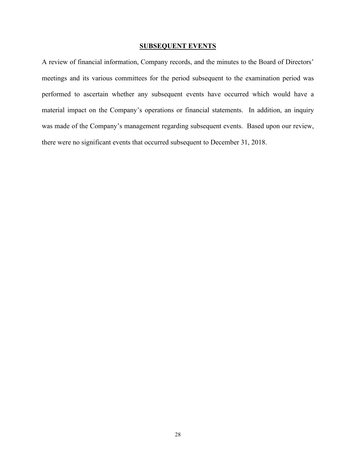## **SUBSEQUENT EVENTS**

A review of financial information, Company records, and the minutes to the Board of Directors' meetings and its various committees for the period subsequent to the examination period was performed to ascertain whether any subsequent events have occurred which would have a material impact on the Company's operations or financial statements. In addition, an inquiry was made of the Company's management regarding subsequent events. Based upon our review, there were no significant events that occurred subsequent to December 31, 2018.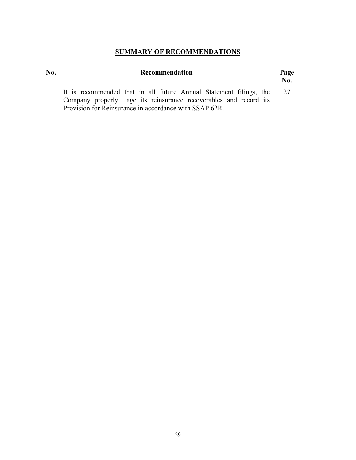# **SUMMARY OF RECOMMENDATIONS**

| No. | Recommendation                                                                                                                                                                                   | Page<br>$\overline{\text{No}}$ . |
|-----|--------------------------------------------------------------------------------------------------------------------------------------------------------------------------------------------------|----------------------------------|
|     | It is recommended that in all future Annual Statement filings, the<br>Company properly age its reinsurance recoverables and record its<br>Provision for Reinsurance in accordance with SSAP 62R. | 27                               |